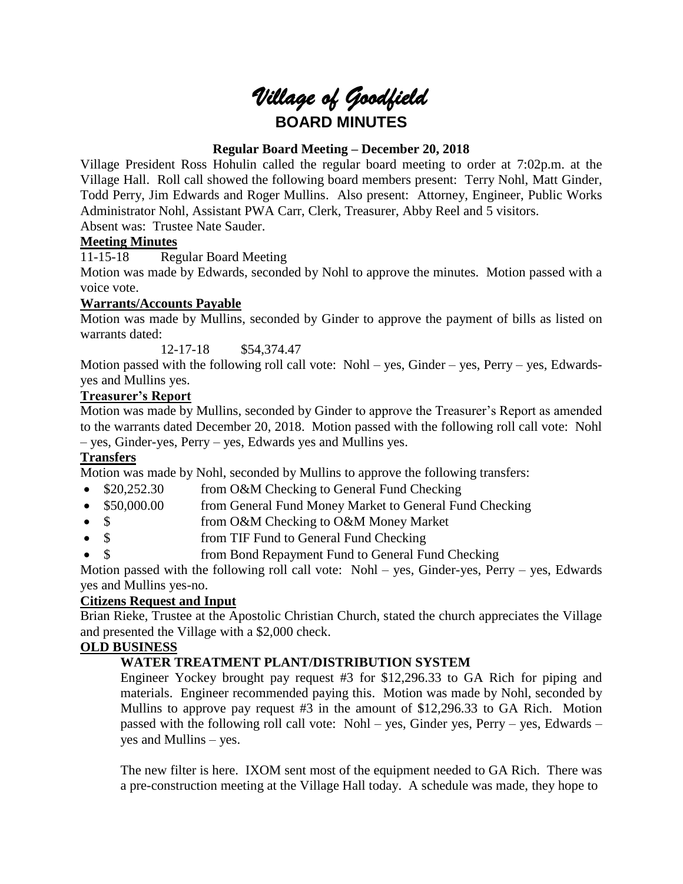# *Village of Goodfield* **BOARD MINUTES**

# **Regular Board Meeting – December 20, 2018**

Village President Ross Hohulin called the regular board meeting to order at 7:02p.m. at the Village Hall. Roll call showed the following board members present: Terry Nohl, Matt Ginder, Todd Perry, Jim Edwards and Roger Mullins. Also present: Attorney, Engineer, Public Works Administrator Nohl, Assistant PWA Carr, Clerk, Treasurer, Abby Reel and 5 visitors. Absent was: Trustee Nate Sauder.

# **Meeting Minutes**

11-15-18 Regular Board Meeting

Motion was made by Edwards, seconded by Nohl to approve the minutes. Motion passed with a voice vote.

# **Warrants/Accounts Payable**

Motion was made by Mullins, seconded by Ginder to approve the payment of bills as listed on warrants dated:

12-17-18 \$54,374.47

Motion passed with the following roll call vote: Nohl – yes, Ginder – yes, Perry – yes, Edwardsyes and Mullins yes.

# **Treasurer's Report**

Motion was made by Mullins, seconded by Ginder to approve the Treasurer's Report as amended to the warrants dated December 20, 2018. Motion passed with the following roll call vote: Nohl – yes, Ginder-yes, Perry – yes, Edwards yes and Mullins yes.

# **Transfers**

Motion was made by Nohl, seconded by Mullins to approve the following transfers:

- \$20,252.30 from O&M Checking to General Fund Checking
- \$50,000.00 from General Fund Money Market to General Fund Checking
- \$ from O&M Checking to O&M Money Market
- \$ from TIF Fund to General Fund Checking
- \$ from Bond Repayment Fund to General Fund Checking

Motion passed with the following roll call vote: Nohl – yes, Ginder-yes, Perry – yes, Edwards yes and Mullins yes-no.

# **Citizens Request and Input**

Brian Rieke, Trustee at the Apostolic Christian Church, stated the church appreciates the Village and presented the Village with a \$2,000 check.

# **OLD BUSINESS**

# **WATER TREATMENT PLANT/DISTRIBUTION SYSTEM**

Engineer Yockey brought pay request #3 for \$12,296.33 to GA Rich for piping and materials. Engineer recommended paying this. Motion was made by Nohl, seconded by Mullins to approve pay request #3 in the amount of \$12,296.33 to GA Rich. Motion passed with the following roll call vote: Nohl – yes, Ginder yes, Perry – yes, Edwards – yes and Mullins – yes.

The new filter is here. IXOM sent most of the equipment needed to GA Rich. There was a pre-construction meeting at the Village Hall today. A schedule was made, they hope to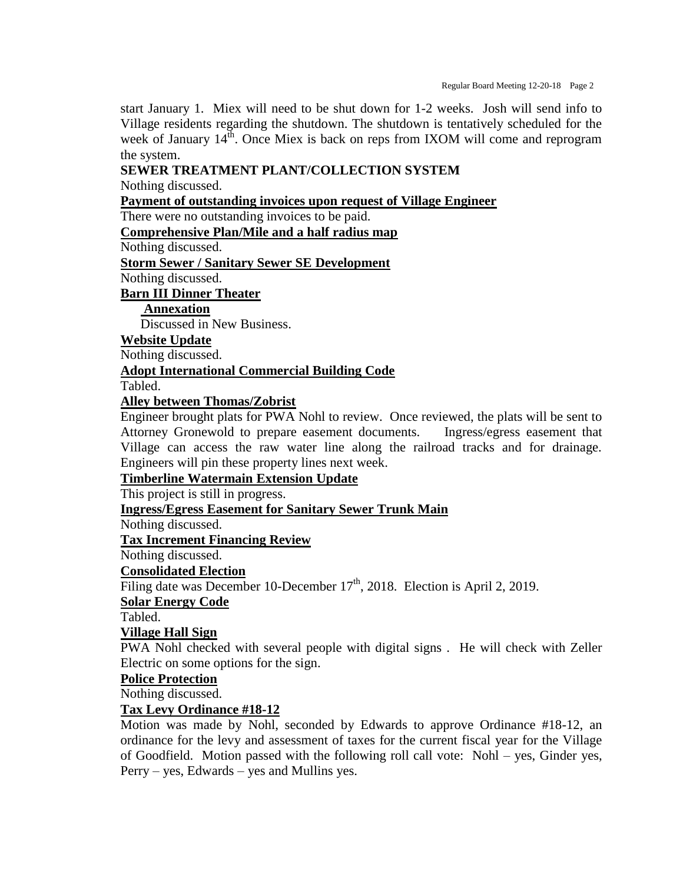start January 1. Miex will need to be shut down for 1-2 weeks. Josh will send info to Village residents regarding the shutdown. The shutdown is tentatively scheduled for the week of January  $14<sup>th</sup>$ . Once Miex is back on reps from IXOM will come and reprogram the system.

## **SEWER TREATMENT PLANT/COLLECTION SYSTEM**

Nothing discussed.

#### **Payment of outstanding invoices upon request of Village Engineer**

There were no outstanding invoices to be paid.

**Comprehensive Plan/Mile and a half radius map**

Nothing discussed.

**Storm Sewer / Sanitary Sewer SE Development**

Nothing discussed.

#### **Barn III Dinner Theater**

**Annexation**

Discussed in New Business.

#### **Website Update**

Nothing discussed.

## **Adopt International Commercial Building Code**

Tabled.

## **Alley between Thomas/Zobrist**

Engineer brought plats for PWA Nohl to review. Once reviewed, the plats will be sent to Attorney Gronewold to prepare easement documents. Ingress/egress easement that Village can access the raw water line along the railroad tracks and for drainage. Engineers will pin these property lines next week.

#### **Timberline Watermain Extension Update**

This project is still in progress.

**Ingress/Egress Easement for Sanitary Sewer Trunk Main**

Nothing discussed.

**Tax Increment Financing Review**

Nothing discussed.

## **Consolidated Election**

Filing date was December 10-December  $17<sup>th</sup>$ , 2018. Election is April 2, 2019.

**Solar Energy Code**

Tabled.

## **Village Hall Sign**

PWA Nohl checked with several people with digital signs . He will check with Zeller Electric on some options for the sign.

#### **Police Protection**

Nothing discussed.

## **Tax Levy Ordinance #18-12**

Motion was made by Nohl, seconded by Edwards to approve Ordinance #18-12, an ordinance for the levy and assessment of taxes for the current fiscal year for the Village of Goodfield. Motion passed with the following roll call vote: Nohl – yes, Ginder yes, Perry – yes, Edwards – yes and Mullins yes.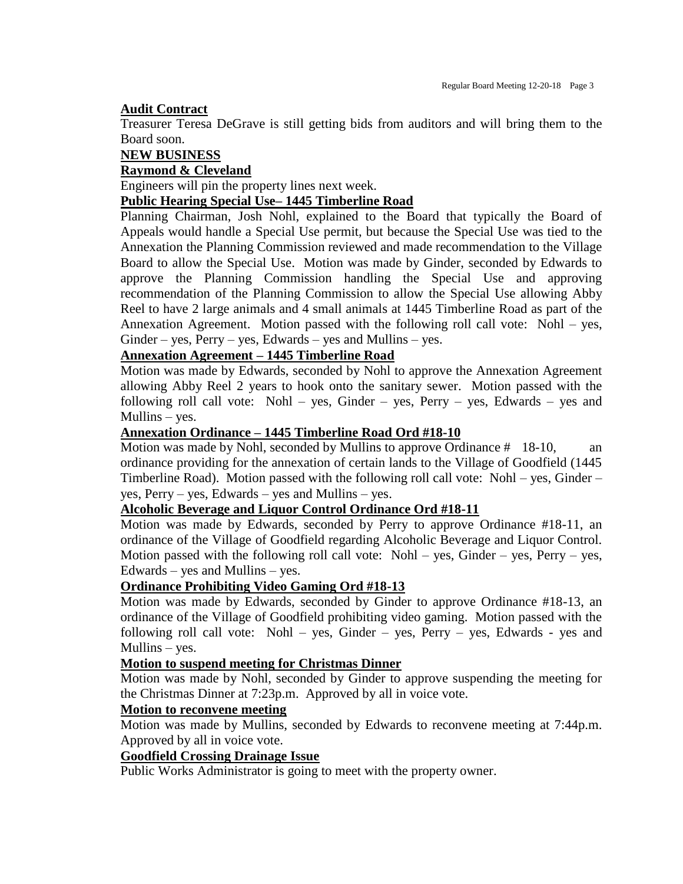#### **Audit Contract**

Treasurer Teresa DeGrave is still getting bids from auditors and will bring them to the Board soon.

#### **NEW BUSINESS**

#### **Raymond & Cleveland**

Engineers will pin the property lines next week.

## **Public Hearing Special Use– 1445 Timberline Road**

Planning Chairman, Josh Nohl, explained to the Board that typically the Board of Appeals would handle a Special Use permit, but because the Special Use was tied to the Annexation the Planning Commission reviewed and made recommendation to the Village Board to allow the Special Use. Motion was made by Ginder, seconded by Edwards to approve the Planning Commission handling the Special Use and approving recommendation of the Planning Commission to allow the Special Use allowing Abby Reel to have 2 large animals and 4 small animals at 1445 Timberline Road as part of the Annexation Agreement. Motion passed with the following roll call vote: Nohl – yes,  $Ginder - yes$ ,  $Perry - yes$ ,  $Edwards - yes$  and Mullins – yes.

#### **Annexation Agreement – 1445 Timberline Road**

Motion was made by Edwards, seconded by Nohl to approve the Annexation Agreement allowing Abby Reel 2 years to hook onto the sanitary sewer. Motion passed with the following roll call vote: Nohl – yes, Ginder – yes, Perry – yes, Edwards – yes and Mullins – yes.

# **Annexation Ordinance – 1445 Timberline Road Ord #18-10**

Motion was made by Nohl, seconded by Mullins to approve Ordinance # 18-10, an ordinance providing for the annexation of certain lands to the Village of Goodfield (1445 Timberline Road). Motion passed with the following roll call vote: Nohl – yes, Ginder – yes, Perry – yes, Edwards – yes and Mullins – yes.

#### **Alcoholic Beverage and Liquor Control Ordinance Ord #18-11**

Motion was made by Edwards, seconded by Perry to approve Ordinance #18-11, an ordinance of the Village of Goodfield regarding Alcoholic Beverage and Liquor Control. Motion passed with the following roll call vote: Nohl – yes, Ginder – yes, Perry – yes, Edwards – yes and Mullins – yes.

#### **Ordinance Prohibiting Video Gaming Ord #18-13**

Motion was made by Edwards, seconded by Ginder to approve Ordinance #18-13, an ordinance of the Village of Goodfield prohibiting video gaming. Motion passed with the following roll call vote: Nohl – yes, Ginder – yes, Perry – yes, Edwards - yes and Mullins – yes.

#### **Motion to suspend meeting for Christmas Dinner**

Motion was made by Nohl, seconded by Ginder to approve suspending the meeting for the Christmas Dinner at 7:23p.m. Approved by all in voice vote.

#### **Motion to reconvene meeting**

Motion was made by Mullins, seconded by Edwards to reconvene meeting at 7:44p.m. Approved by all in voice vote.

## **Goodfield Crossing Drainage Issue**

Public Works Administrator is going to meet with the property owner.